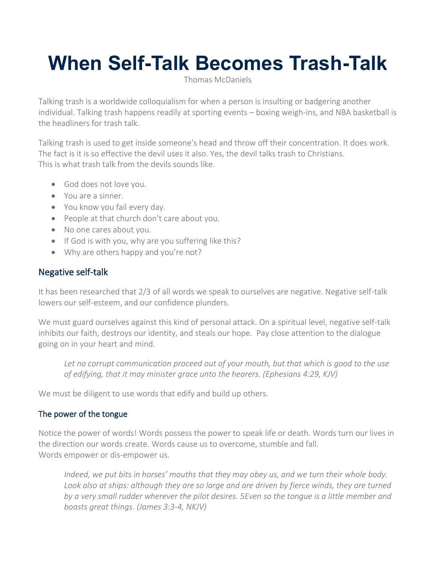# **When Self-Talk Becomes Trash-Talk**

Thomas [McDaniels](https://thomasmcdaniels.com/author/tomlife/)

Talking trash is a worldwide colloquialism for when a person is insulting or badgering another individual. Talking trash happens readily at sporting events – boxing weigh-ins, and NBA basketball is the headliners for trash talk.

Talking trash is used to get inside someone's head and throw off their concentration. It does work. The fact is it is so effective the devil uses it also. Yes, the devil talks trash to Christians. This is what trash talk from the devils sounds like.

- God does not love you.
- You are a sinner.
- You know you fail every day.
- People at that church don't care about you.
- No one cares about you.
- If God is with you, why are you suffering like this?
- Why are others happy and you're not?

## Negative self-talk

It has been researched that 2/3 of all words we speak to ourselves are negative. Negative self-talk lowers our self-esteem, and our confidence plunders.

We must guard ourselves against this kind of personal attack. On a spiritual level, negative self-talk inhibits our faith, destroys our identity, and steals our hope. Pay close attention to the dialogue going on in your heart and mind.

*Let no corrupt communication proceed out of your mouth, but that which is good to the use of edifying, that it may minister grace unto the hearers. (Ephesians 4:29, KJV)*

We must be diligent to use words that edify and build up others.

#### The power of the tongue

Notice the power of words! Words possess the power to speak life or death. Words turn our lives in the direction our words create. Words cause us to overcome, stumble and fall. Words empower or dis-empower us.

*Indeed, we put bits in horses' mouths that they may obey us, and we turn their whole body. Look also at ships: although they are so large and are driven by fierce winds, they are turned by a very small rudder wherever the pilot desires. 5Even so the tongue is a little member and boasts great things. (James 3:3-4, NKJV)*